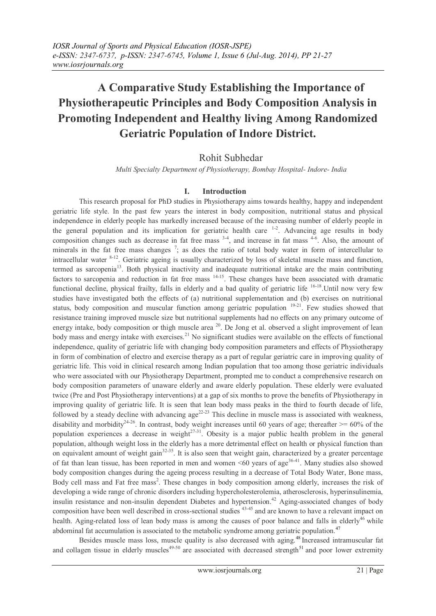# **A Comparative Study Establishing the Importance of Physiotherapeutic Principles and Body Composition Analysis in Promoting Independent and Healthy living Among Randomized Geriatric Population of Indore District.**

Rohit Subhedar

*Multi Specialty Department of Physiotherapy, Bombay Hospital- Indore- India*

# **I. Introduction**

This research proposal for PhD studies in Physiotherapy aims towards healthy, happy and independent geriatric life style. In the past few years the interest in body composition, nutritional status and physical independence in elderly people has markedly increased because of the increasing number of elderly people in the general population and its implication for geriatric health care  $1-2$ . Advancing age results in body composition changes such as decrease in fat free mass  $3-4$ , and increase in fat mass  $4-6$ . Also, the amount of minerals in the fat free mass changes  $\frac{7}{1}$ ; as does the ratio of total body water in form of intercellular to intracellular water 8-12. Geriatric ageing is usually characterized by loss of skeletal muscle mass and function, termed as sarcopenia<sup>13</sup>. Both physical inactivity and inadequate nutritional intake are the main contributing factors to sarcopenia and reduction in fat free mass <sup>14-15</sup>. These changes have been associated with dramatic functional decline, physical frailty, falls in elderly and a bad quality of geriatric life <sup>16-18</sup>. Until now very few studies have investigated both the effects of (a) nutritional supplementation and (b) exercises on nutritional status, body composition and muscular function among geriatric population <sup>19-21</sup>. Few studies showed that resistance training improved muscle size but nutritional supplements had no effects on any primary outcome of energy intake, body composition or thigh muscle area <sup>20</sup>. De Jong et al. observed a slight improvement of lean body mass and energy intake with exercises.<sup>21</sup> No significant studies were available on the effects of functional independence, quality of geriatric life with changing body composition parameters and effects of Physiotherapy in form of combination of electro and exercise therapy as a part of regular geriatric care in improving quality of geriatric life. This void in clinical research among Indian population that too among those geriatric individuals who were associated with our Physiotherapy Department, prompted me to conduct a comprehensive research on body composition parameters of unaware elderly and aware elderly population. These elderly were evaluated twice (Pre and Post Physiotherapy interventions) at a gap of six months to prove the benefits of Physiotherapy in improving quality of geriatric life. It is seen that lean body mass peaks in the third to fourth decade of life, followed by a steady decline with advancing  $age^{22-23}$  This decline in muscle mass is associated with weakness, disability and morbidity<sup>24-26</sup>. In contrast, body weight increases until 60 years of age; thereafter  $\geq$  60% of the population experiences a decrease in weight $27-31$ . Obesity is a major public health problem in the general population, although weight loss in the elderly has a more detrimental effect on health or physical function than on equivalent amount of weight gain $32-35$ . It is also seen that weight gain, characterized by a greater percentage of fat than lean tissue, has been reported in men and women  $\leq 60$  years of age<sup>36-41</sup>. Many studies also showed body composition changes during the ageing process resulting in a decrease of Total Body Water, Bone mass, Body cell mass and Fat free mass<sup>2</sup>. These changes in body composition among elderly, increases the risk of developing a wide range of chronic disorders including hypercholesterolemia, atherosclerosis, hyperinsulinemia, insulin resistance and non-insulin dependent Diabetes and hypertension.<sup>42</sup> Aging-associated changes of body composition have been well described in cross-sectional studies 43-45 and are known to have a relevant impact on health. Aging-related loss of lean body mass is among the causes of poor balance and falls in elderly<sup>46</sup> while abdominal fat accumulation is associated to the metabolic syndrome among geriatric population.<sup>[47](http://www.clinicalnutritionjournal.com/article/S0261-5614(05)00190-1/fulltext#bib5)</sup>

Besides muscle mass loss, muscle quality is also decreased with aging.<sup>[48](http://www.clinicalnutritionjournal.com/article/S0261-5614(05)00190-1/fulltext#bib6)</sup> Increased intramuscular fat and collagen tissue in elderly muscles<sup>49-50</sup> are associated with decreased strength<sup>[51](http://www.clinicalnutritionjournal.com/article/S0261-5614(05)00190-1/fulltext#bib9)</sup> and poor lower extremity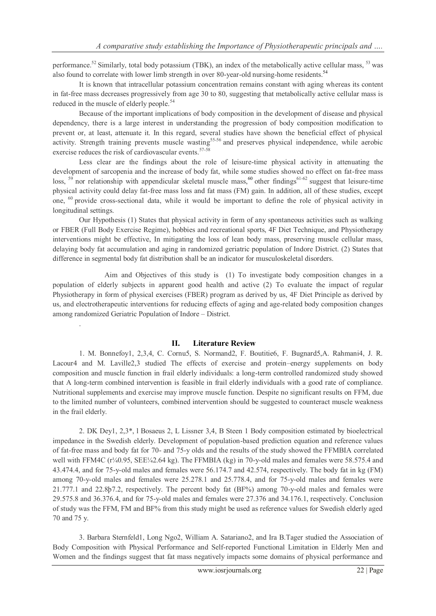performance.<sup>52</sup> Similarly, total body potassium (TBK), an index of the metabolically active cellular mass, <sup>53</sup> was also found to correlate with lower limb strength in over 80-year-old nursing-home residents.[54](http://www.clinicalnutritionjournal.com/article/S0261-5614(05)00190-1/fulltext#bib12)

It is known that intracellular potassium concentration remains constant with aging whereas its content in fat-free mass decreases progressively from age 30 to 80, suggesting that metabolically active cellular mass is reduced in the muscle of elderly people.<sup>54</sup>

Because of the important implications of body composition in the development of disease and physical dependency, there is a large interest in understanding the progression of body composition modification to prevent or, at least, attenuate it. In this regard, several studies have shown the beneficial effect of physical activity. Strength training prevents muscle wasting<sup>55-56</sup> and preserves physical independence, while aerobic exercise reduces the risk of cardiovascular events.<sup>57-58</sup>

Less clear are the findings about the role of leisure-time physical activity in attenuating the development of sarcopenia and the increase of body fat, while some studies showed no effect on fat-free mass loss,  $59$  nor relationship with appendicular skeletal muscle mass,  $60$  other findings $61-62$  suggest that leisure-time physical activity could delay fat-free mass loss and fat mass (FM) gain. In addition, all of these studies, except one, <sup>60</sup> provide cross-sectional data, while it would be important to define the role of physical activity in longitudinal settings.

Our Hypothesis (1) States that physical activity in form of any spontaneous activities such as walking or FBER (Full Body Exercise Regime), hobbies and recreational sports, 4F Diet Technique, and Physiotherapy interventions might be effective, In mitigating the loss of lean body mass, preserving muscle cellular mass, delaying body fat accumulation and aging in randomized geriatric population of Indore District. (2) States that difference in segmental body fat distribution shall be an indicator for musculoskeletal disorders.

 Aim and Objectives of this study is (1) To investigate body composition changes in a population of elderly subjects in apparent good health and active (2) To evaluate the impact of regular Physiotherapy in form of physical exercises (FBER) program as derived by us, 4F Diet Principle as derived by us, and electrotherapeutic interventions for reducing effects of aging and age-related body composition changes among randomized Geriatric Population of Indore – District.

## **II. Literature Review**

.

1. M. Bonnefoy1, 2,3,4, C. Cornu5, S. Normand2, F. Boutitie6, F. Bugnard5,A. Rahmani4, J. R. Lacour4 and M. Laville2,3 studied The effects of exercise and protein–energy supplements on body composition and muscle function in frail elderly individuals: a long-term controlled randomized study showed that A long-term combined intervention is feasible in frail elderly individuals with a good rate of compliance. Nutritional supplements and exercise may improve muscle function. Despite no significant results on FFM, due to the limited number of volunteers, combined intervention should be suggested to counteract muscle weakness in the frail elderly.

2. DK Dey1, 2,3\*, l Bosaeus 2, L Lissner 3,4, B Steen 1 Body composition estimated by bioelectrical impedance in the Swedish elderly. Development of population-based prediction equation and reference values of fat-free mass and body fat for 70- and 75-y olds and the results of the study showed the FFMBIA correlated well with FFM4C (r¼0.95, SEE¼2.64 kg). The FFMBIA (kg) in 70-y-old males and females were 58.575.4 and 43.474.4, and for 75-y-old males and females were 56.174.7 and 42.574, respectively. The body fat in kg (FM) among 70-y-old males and females were 25.278.1 and 25.778.4, and for 75-y-old males and females were 21.777.1 and 22.8þ7.2, respectively. The percent body fat (BF%) among 70-y-old males and females were 29.575.8 and 36.376.4, and for 75-y-old males and females were 27.376 and 34.176.1, respectively. Conclusion of study was the FFM, FM and BF% from this study might be used as reference values for Swedish elderly aged 70 and 75 y.

3. Barbara Sternfeld1, Long Ngo2, William A. Satariano2, and Ira B.Tager studied the Association of Body Composition with Physical Performance and Self-reported Functional Limitation in Elderly Men and Women and the findings suggest that fat mass negatively impacts some domains of physical performance and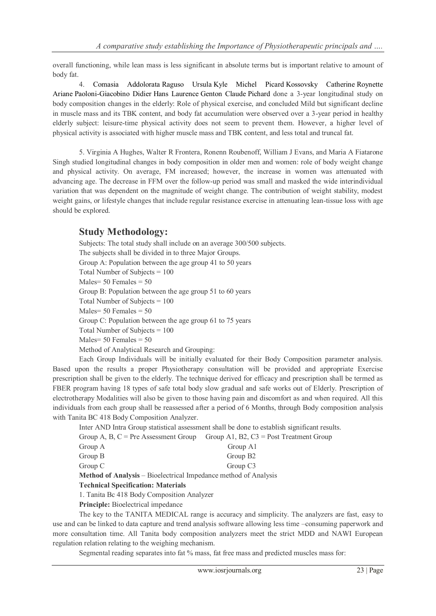overall functioning, while lean mass is less significant in absolute terms but is important relative to amount of body fat.

4. [Comasia Addolorata](http://www.clinicalnutritionjournal.com/article/S0261-5614(05)00190-1/abstract) Raguso [Ursula](http://www.clinicalnutritionjournal.com/article/S0261-5614(05)00190-1/abstract) Kyle [Michel Picard](http://www.clinicalnutritionjournal.com/article/S0261-5614(05)00190-1/abstract) Kossovsky [Catherine](http://www.clinicalnutritionjournal.com/article/S0261-5614(05)00190-1/abstract) Roynette Ariane [Paoloni-Giacobino](http://www.clinicalnutritionjournal.com/article/S0261-5614(05)00190-1/abstract) [Didier](http://www.clinicalnutritionjournal.com/article/S0261-5614(05)00190-1/abstract) Hans [Laurence](http://www.clinicalnutritionjournal.com/article/S0261-5614(05)00190-1/abstract) Genton Claude [Pichard](http://www.clinicalnutritionjournal.com/article/S0261-5614(05)00190-1/abstract) done a 3-year longitudinal study on body composition changes in the elderly: Role of physical exercise, and concluded Mild but significant decline in muscle mass and its TBK content, and body fat accumulation were observed over a 3-year period in healthy elderly subject: leisure-time physical activity does not seem to prevent them. However, a higher level of physical activity is associated with higher muscle mass and TBK content, and less total and truncal fat.

5. Virginia A Hughes, Walter R Frontera, Ronenn Roubenoff, William J Evans, and Maria A Fiatarone Singh studied longitudinal changes in body composition in older men and women: role of body weight change and physical activity. On average, FM increased; however, the increase in women was attenuated with advancing age. The decrease in FFM over the follow-up period was small and masked the wide interindividual variation that was dependent on the magnitude of weight change. The contribution of weight stability, modest weight gains, or lifestyle changes that include regular resistance exercise in attenuating lean-tissue loss with age should be explored.

# **Study Methodology:**

Subjects: The total study shall include on an average 300/500 subjects. The subjects shall be divided in to three Major Groups. Group A: Population between the age group 41 to 50 years Total Number of Subjects = 100 Males  $= 50$  Females  $= 50$ Group B: Population between the age group 51 to 60 years Total Number of Subjects = 100 Males  $= 50$  Females  $= 50$ Group C: Population between the age group 61 to 75 years Total Number of Subjects = 100  $Males = 50$  Females =  $50$ Method of Analytical Research and Grouping:

Each Group Individuals will be initially evaluated for their Body Composition parameter analysis. Based upon the results a proper Physiotherapy consultation will be provided and appropriate Exercise prescription shall be given to the elderly. The technique derived for efficacy and prescription shall be termed as FBER program having 18 types of safe total body slow gradual and safe works out of Elderly. Prescription of electrotherapy Modalities will also be given to those having pain and discomfort as and when required. All this individuals from each group shall be reassessed after a period of 6 Months, through Body composition analysis with Tanita BC 418 Body Composition Analyzer.

Inter AND Intra Group statistical assessment shall be done to establish significant results.

|                                                                        | Group A, B, $C = Pre$ Assessment Group Group A1, B2, $C3 = Post Treatment Group$ |
|------------------------------------------------------------------------|----------------------------------------------------------------------------------|
| Group A                                                                | Group A1                                                                         |
| Group B                                                                | Group B <sub>2</sub>                                                             |
| Group C                                                                | Group C <sub>3</sub>                                                             |
| <b>Method of Analysis</b> – Bioelectrical Impedance method of Analysis |                                                                                  |
| <b>Technical Specification: Materials</b>                              |                                                                                  |

1. Tanita Bc 418 Body Composition Analyzer

**Principle:** Bioelectrical impedance

The key to the TANITA MEDICAL range is accuracy and simplicity. The analyzers are fast, easy to use and can be linked to data capture and trend analysis software allowing less time –consuming paperwork and more consultation time. All Tanita body composition analyzers meet the strict MDD and NAWI European regulation relation relating to the weighing mechanism.

Segmental reading separates into fat % mass, fat free mass and predicted muscles mass for: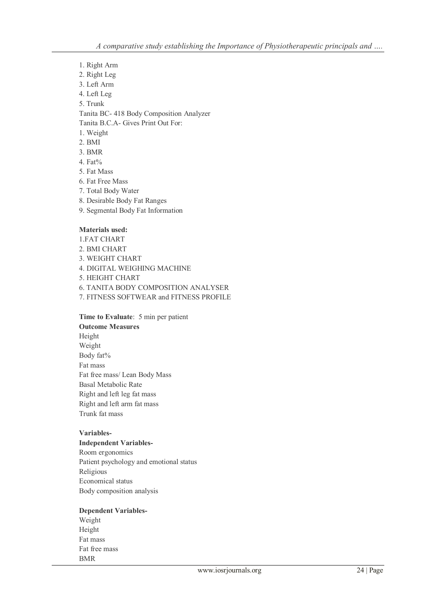- 1. Right Arm
- 2. Right Leg
- 3. Left Arm
- 4. Left Leg
- 5. Trunk

Tanita BC- 418 Body Composition Analyzer

Tanita B.C.A- Gives Print Out For:

- 1. Weight
- 2. BMI
- 3. BMR
- 4. Fat%
- 5. Fat Mass
- 6. Fat Free Mass
- 7. Total Body Water
- 8. Desirable Body Fat Ranges
- 9. Segmental Body Fat Information

#### **Materials used:**

1.FAT CHART 2. BMI CHART 3. WEIGHT CHART 4. DIGITAL WEIGHING MACHINE 5. HEIGHT CHART 6. TANITA BODY COMPOSITION ANALYSER 7. FITNESS SOFTWEAR and FITNESS PROFILE

**Time to Evaluate**: 5 min per patient **Outcome Measures** Height Weight Body fat% Fat mass Fat free mass/ Lean Body Mass Basal Metabolic Rate Right and left leg fat mass Right and left arm fat mass Trunk fat mass

#### **Variables-**

# **Independent Variables-**

Room ergonomics Patient psychology and emotional status Religious Economical status Body composition analysis

## **Dependent Variables-**

Weight Height Fat mass Fat free mass BMR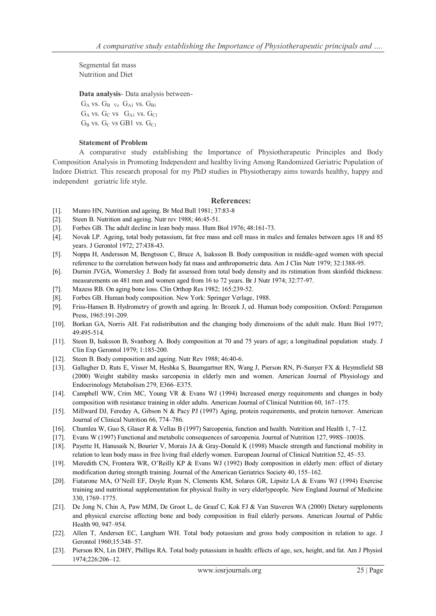Segmental fat mass Nutrition and Diet

**Data analysis**- Data analysis between-

 $G_A$  vs.  $G_B$  <sub>Vs</sub>  $G_{A1}$  vs.  $G_{B1}$  $G_A$  vs.  $G_C$  vs  $G_{A1}$  vs.  $G_{C1}$  $G_B$  vs.  $G_C$  vs GB1 vs.  $G_{C1}$ 

#### **Statement of Problem**

A comparative study establishing the Importance of Physiotherapeutic Principles and Body Composition Analysis in Promoting Independent and healthy living Among Randomized Geriatric Population of Indore District. This research proposal for my PhD studies in Physiotherapy aims towards healthy, happy and independent geriatric life style.

#### **References:**

- [1]. Munro HN, Nutrition and ageing. Br Med Bull 1981; 37:83-8
- [2]. Steen B. Nutrition and ageing. Nutr rev 1988; 46:45-51.
- [3]. Forbes GB. The adult decline in lean body mass. Hum Biol 1976; 48:161-73.
- [4]. Novak LP. Ageing, total body potassium, fat free mass and cell mass in males and females between ages 18 and 85 years. J Gerontol 1972; 27:438-43.
- [5]. Noppa H, Andersson M, Bengtsson C, Bruce A, Isaksson B. Body composition in middle-aged women with special reference to the correlation between body fat mass and anthropometric data. Am J Clin Nutr 1979; 32:1388-95.
- [6]. Durnin JVGA, Womersley J. Body fat assessed from total body density and its rstimation from skinfold thickness: measurements on 481 men and women aged from 16 to 72 years. Br J Nutr 1974; 32:77-97.
- [7]. Mazess RB. On aging bone loss. Clin Orthop Res 1982; 165:239-52.
- [8]. Forbes GB. Human body composition. New York: Springer Verlage, 1988.
- [9]. Friss-Hansen B. Hydrometry of growth and ageing. In: Brozek J, ed. Human body composition. Oxford: Peragamon Press, 1965:191-209.
- [10]. Borkan GA, Norris AH. Fat redistribution and the changing body dimensions of the adult male. Hum Biol 1977; 49:495-514.
- [11]. Steen B, Isaksson B, Svanborg A. Body composition at 70 and 75 years of age; a longitudinal population study. J Clin Exp Gerontol 1979; 1:185-200.
- [12]. Steen B. Body composition and ageing. Nutr Rev 1988; 46:40-6.
- [13]. Gallagher D, Ruts E, Visser M, Heshka S, Baumgartner RN, Wang J, Pierson RN, Pi-Sunyer FX & Heymsfield SB (2000) Weight stability masks sarcopenia in elderly men and women. American Journal of Physiology and Endocrinology Metabolism 279, E366–E375.
- [14]. Campbell WW, Crim MC, Young VR & Evans WJ (1994) Increased energy requirements and changes in body composition with resistance training in older adults. American Journal of Clinical Nutrition 60, 167–175.
- [15]. Millward DJ, Fereday A, Gibson N & Pacy PJ (1997) Aging, protein requirements, and protein turnover. American Journal of Clinical Nutrition 66, 774–786.
- [16]. Chumlea W, Guo S, Glaser R & Vellas B (1997) Sarcopenia, function and health. Nutrition and Health 1, 7–12.
- [17]. Evans W (1997) Functional and metabolic consequences of sarcopenia. Journal of Nutrition 127, 998S–1003S.
- [18]. Payette H, Hanusaik N, Bourier V, Morais JA & Gray-Donald K (1998) Muscle strength and functional mobility in relation to lean body mass in free living frail elderly women. European Journal of Clinical Nutrition 52, 45–53.
- [19]. Meredith CN, Frontera WR, O'Reilly KP & Evans WJ (1992) Body composition in elderly men: effect of dietary modification during strength training. Journal of the American Geriatrics Society 40, 155–162.
- [20]. Fiatarone MA, O'Neill EF, Doyle Ryan N, Clements KM, Solares GR, Lipsitz LA & Evans WJ (1994) Exercise training and nutritional supplementation for physical frailty in very elderlypeople. New England Journal of Medicine 330, 1769–1775.
- [21]. De Jong N, Chin A, Paw MJM, De Groot L, de Graaf C, Kok FJ & Van Staveren WA (2000) Dietary supplements and physical exercise affecting bone and body composition in frail elderly persons. American Journal of Public Health 90, 947–954.
- [22]. Allen T, Andersen EC, Langham WH. Total body potassium and gross body composition in relation to age. J Gerontol 1960;15:348–57.
- [23]. Pierson RN, Lin DHY, Phillips RA. Total body potassium in health: effects of age, sex, height, and fat. Am J Physiol 1974;226:206–12.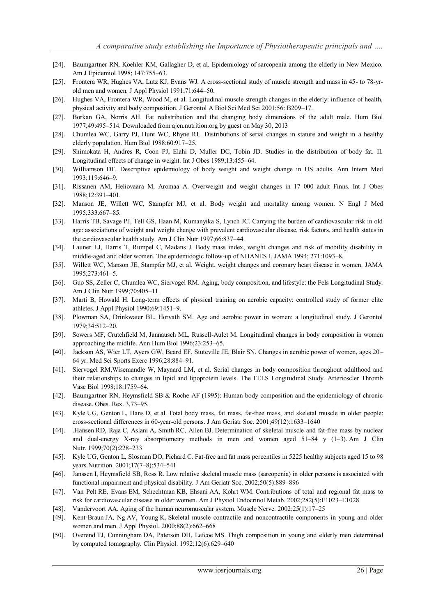- [24]. Baumgartner RN, Koehler KM, Gallagher D, et al. Epidemiology of sarcopenia among the elderly in New Mexico. Am J Epidemiol 1998; 147:755–63.
- [25]. Frontera WR, Hughes VA, Lutz KJ, Evans WJ. A cross-sectional study of muscle strength and mass in 45- to 78-yrold men and women. J Appl Physiol 1991;71:644–50.
- [26]. Hughes VA, Frontera WR, Wood M, et al. Longitudinal muscle strength changes in the elderly: influence of health, physical activity and body composition. J Gerontol A Biol Sci Med Sci 2001;56: B209–17.
- [27]. Borkan GA, Norris AH. Fat redistribution and the changing body dimensions of the adult male. Hum Biol 1977;49:495–514. Downloaded from ajcn.nutrition.org by guest on May 30, 2013
- [28]. Chumlea WC, Garry PJ, Hunt WC, Rhyne RL. Distributions of serial changes in stature and weight in a healthy elderly population. Hum Biol 1988;60:917–25.
- [29]. Shimokata H, Andres R, Coon PJ, Elahi D, Muller DC, Tobin JD. Studies in the distribution of body fat. II. Longitudinal effects of change in weight. Int J Obes 1989;13:455–64.
- [30]. Williamson DF. Descriptive epidemiology of body weight and weight change in US adults. Ann Intern Med 1993;119:646–9.
- [31]. Rissanen AM, Heliovaara M, Aromaa A. Overweight and weight changes in 17 000 adult Finns. Int J Obes 1988;12:391–401.
- [32]. Manson JE, Willett WC, Stampfer MJ, et al. Body weight and mortality among women. N Engl J Med 1995;333:667–85.
- [33]. Harris TB, Savage PJ, Tell GS, Haan M, Kumanyika S, Lynch JC. Carrying the burden of cardiovascular risk in old age: associations of weight and weight change with prevalent cardiovascular disease, risk factors, and health status in the cardiovascular health study. Am J Clin Nutr 1997;66:837–44.
- [34]. Launer LJ, Harris T, Rumpel C, Madans J. Body mass index, weight changes and risk of mobility disability in middle-aged and older women. The epidemioogic follow-up of NHANES I. JAMA 1994; 271:1093–8.
- [35]. Willett WC, Manson JE, Stampfer MJ, et al. Weight, weight changes and coronary heart disease in women. JAMA 1995;273:461–5.
- [36]. Guo SS, Zeller C, Chumlea WC, Siervogel RM. Aging, body composition, and lifestyle: the Fels Longitudinal Study. Am J Clin Nutr 1999;70:405–11.
- [37]. Marti B, Howald H. Long-term effects of physical training on aerobic capacity: controlled study of former elite athletes. J Appl Physiol 1990;69:1451–9.
- [38]. Plowman SA, Drinkwater BL, Horvath SM. Age and aerobic power in women: a longitudinal study. J Gerontol 1979;34:512–20.
- [39]. Sowers MF, Crutchfield M, Jannausch ML, Russell-Aulet M. Longitudinal changes in body composition in women approaching the midlife. Ann Hum Biol 1996;23:253–65.
- [40]. Jackson AS, Wier LT, Ayers GW, Beard EF, Stuteville JE, Blair SN. Changes in aerobic power of women, ages 20– 64 yr. Med Sci Sports Exerc 1996;28:884–91.
- [41]. Siervogel RM,Wisemandle W, Maynard LM, et al. Serial changes in body composition throughout adulthood and their relationships to changes in lipid and lipoprotein levels. The FELS Longitudinal Study. Arterioscler Thromb Vasc Biol 1998;18:1759–64.
- [42]. Baumgartner RN, Heymsfield SB & Roche AF (1995): Human body composition and the epidemiology of chronic disease. Obes. Rex. 3,73–95.
- [43]. Kyle UG, Genton L, Hans D, et al. Total body mass, fat mass, fat-free mass, and skeletal muscle in older people: cross-sectional differences in 60-year-old persons. J Am Geriatr Soc. 2001;49(12):1633–1640
- [44]. .Hansen RD, Raja C, Aslani A, Smith RC, Allen BJ. Determination of skeletal muscle and fat-free mass by nuclear and dual-energy X-ray absorptiometry methods in men and women aged 51–84 y (1–3). Am J Clin Nutr. 1999;70(2):228–233
- [45]. Kyle UG, Genton L, Slosman DO, Pichard C. Fat-free and fat mass percentiles in 5225 healthy subjects aged 15 to 98 years.Nutrition. 2001;17(7–8):534–541
- [46]. Janssen I, Heymsfield SB, Ross R. Low relative skeletal muscle mass (sarcopenia) in older persons is associated with functional impairment and physical disability. J Am Geriatr Soc. 2002;50(5):889–896
- [47]. Van Pelt RE, Evans EM, Schechtman KB, Ehsani AA, Kohrt WM. Contributions of total and regional fat mass to risk for cardiovascular disease in older women. Am J Physiol Endocrinol Metab. 2002;282(5):E1023–E1028
- [48]. Vandervoort AA. Aging of the human neuromuscular system. Muscle Nerve. 2002;25(1):17–25
- [49]. Kent-Braun JA, Ng AV, Young K. Skeletal muscle contractile and noncontractile components in young and older women and men. J Appl Physiol. 2000;88(2):662–668
- [50]. Overend TJ, Cunningham DA, Paterson DH, Lefcoe MS. Thigh composition in young and elderly men determined by computed tomography. Clin Physiol. 1992;12(6):629–640